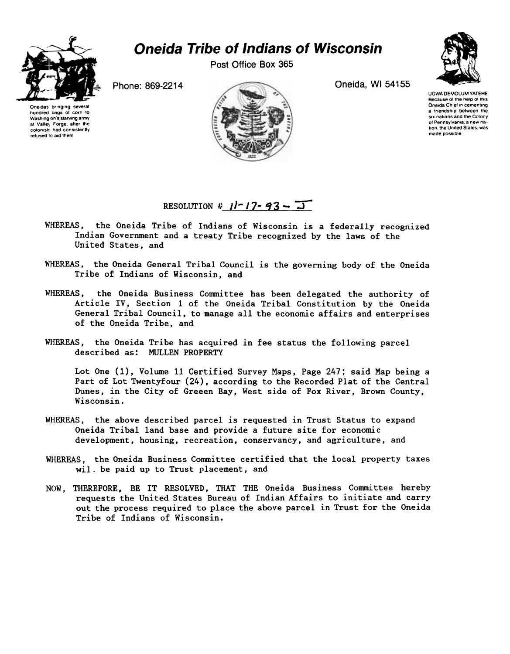## Oneida Tribe of Indians of Wisconsin

Post Office Box 365



Oneidas bringing se hundred bags 01 corn to Washing on's starving army at Vallej Forge, after the colonist! had consistently retused to aid them





UGWA DEMOLUM YATEHE Because of the help of this Oneida Chief in cementing a friendship between the six nations and the Colony ot Pennsylvania. a new nation, the United States, was made possible

## RESOLUTION  $\frac{\mu}{\mu}$   $\frac{1-\mu}{\sigma^2}$  -  $\frac{\pi}{\sigma^2}$

- WHEREAS, the Oneida Tribe of Indians of Wisconsin is a federally recognized Indian Government and a treaty Tribe recognized by the laws of the United States, and
- WHEREAS, the Oneida General Tribal Council is the governing body of the Oneida Tribe of Indians of Wisconsin, and
- WHEREAS, the Oneida Business Committee has been delegated the authority of Article IV, Section 1 of the Oneida Tribal Constitution by the Oneida General Tribal Council, to manage all the economic affairs and enterprises of the Oneida Tribe, and
- WHEREAS, the Oneida Tribe has acquired in fee status the following parcel described as: MULLEN PROPERTY

Lot One (1), Volume 11 Certified Survey Maps, Page 247; said Map being a Part of Lot Twentyfour (24), according to the Recorded Plat of the Central Dunes, in the City of Greeen Bay, West side of Fox River, Brown County, Wisconsin.

- WHEREAS, the above described parcel is requested in Trust Status to expand Oneida Tribal land base and provide a future site for economic development, housing, recreation, conservancy, and agriculture, and
- WHEREAS, the Oneida Business Committee certified that the local property taxe will be paid up to Trust placement, and
- NOW, THEREFORE, BE IT RESOLVED, THAT THE Oneida Business Committee hereb requests the United States Bureau of Indian Affairs to initiate and carry out the process required to place the above parcel in Trust for the Oneida Tribe of Indians of Wisconsin.